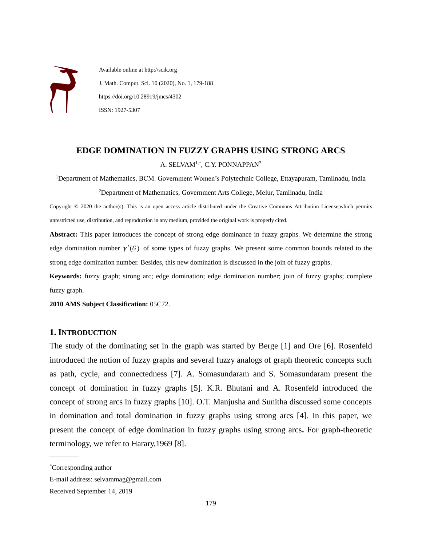Available online at http://scik.org J. Math. Comput. Sci. 10 (2020), No. 1, 179-188 https://doi.org/10.28919/jmcs/4302 ISSN: 1927-5307

# **EDGE DOMINATION IN FUZZY GRAPHS USING STRONG ARCS** A. SELVAM<sup>1,\*</sup>, C.Y. PONNAPPAN<sup>2</sup>

<sup>1</sup>Department of Mathematics, BCM. Government Women's Polytechnic College, Ettayapuram, Tamilnadu, India

<sup>2</sup>Department of Mathematics, Government Arts College, Melur, Tamilnadu, India

Copyright © 2020 the author(s). This is an open access article distributed under the Creative Commons Attribution License,which permits unrestricted use, distribution, and reproduction in any medium, provided the original work is properly cited.

**Abstract:** This paper introduces the concept of strong edge dominance in fuzzy graphs. We determine the strong edge domination number  $\gamma'(G)$  of some types of fuzzy graphs. We present some common bounds related to the strong edge domination number. Besides, this new domination is discussed in the join of fuzzy graphs.

**Keywords:** fuzzy graph; strong arc; edge domination; edge domination number; join of fuzzy graphs; complete fuzzy graph.

**2010 AMS Subject Classification:** 05C72.

## **1. INTRODUCTION**

The study of the dominating set in the graph was started by Berge [1] and Ore [6]. Rosenfeld introduced the notion of fuzzy graphs and several fuzzy analogs of graph theoretic concepts such as path, cycle, and connectedness [7]. A. Somasundaram and S. Somasundaram present the concept of domination in fuzzy graphs [5]. K.R. Bhutani and A. Rosenfeld introduced the concept of strong arcs in fuzzy graphs [10]. O.T. Manjusha and Sunitha discussed some concepts in domination and total domination in fuzzy graphs using strong arcs [4]. In this paper, we present the concept of edge domination in fuzzy graphs using strong arcs**.** For graph-theoretic terminology, we refer to Harary,1969 [8].

 $\overline{\phantom{a}}$ 

<sup>\*</sup>Corresponding author

E-mail address: selvammag@gmail.com

Received September 14, 2019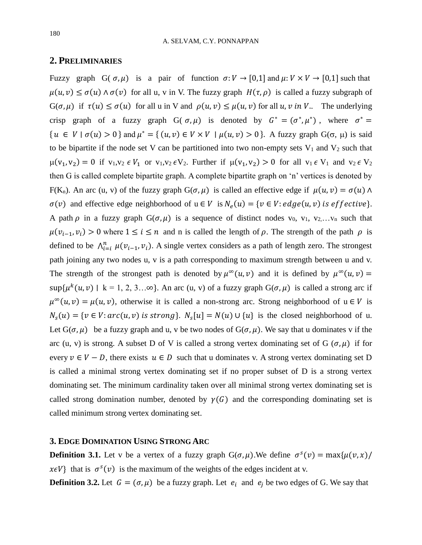## **2. PRELIMINARIES**

Fuzzy graph G( $\sigma$ ,  $\mu$ ) is a pair of function  $\sigma: V \to [0,1]$  and  $\mu: V \times V \to [0,1]$  such that  $\mu(u, v) \leq \sigma(u) \wedge \sigma(v)$  for all u, v in V. The fuzzy graph  $H(\tau, \rho)$  is called a fuzzy subgraph of  $G(\sigma, \mu)$  if  $\tau(u) \leq \sigma(u)$  for all u in V and  $\rho(u, v) \leq \mu(u, v)$  for all  $u, v$  in V.. The underlying crisp graph of a fuzzy graph  $G(\sigma,\mu)$  is denoted by  $G^* = (\sigma^*, \mu^*)$ , where  $\sigma^* =$ { $u \in V \mid \sigma(u) > 0$ } and  $\mu^* = \{ (u, v) \in V \times V \mid \mu(u, v) > 0 \}$ . A fuzzy graph  $G(\sigma, \mu)$  is said to be bipartite if the node set V can be partitioned into two non-empty sets  $V_1$  and  $V_2$  such that  $\mu(v_1, v_2) = 0$  if  $v_1, v_2 \in V_1$  or  $v_1, v_2 \in V_2$ . Further if  $\mu(v_1, v_2) > 0$  for all  $v_1 \in V_1$  and  $v_2 \in V_2$ then G is called complete bipartite graph. A complete bipartite graph on 'n' vertices is denoted by F(K<sub>n</sub>). An arc (u, v) of the fuzzy graph G( $\sigma$ ,  $\mu$ ) is called an effective edge if  $\mu(u, v) = \sigma(u) \wedge$  $\sigma(v)$  and effective edge neighborhood of  $u \in V$  is  $N_e(u) = \{v \in V : edge(u, v) \text{ is effective}\}.$ A path  $\rho$  in a fuzzy graph  $G(\sigma, \mu)$  is a sequence of distinct nodes  $v_0, v_1, v_2, \ldots, v_n$  such that  $\mu(v_{i-1}, v_i) > 0$  where  $1 \le i \le n$  and n is called the length of  $\rho$ . The strength of the path  $\rho$  is defined to be  $\bigwedge_{i=1}^n \mu(v_{i-1}, v_i)$ . A single vertex considers as a path of length zero. The strongest path joining any two nodes u, v is a path corresponding to maximum strength between u and v. The strength of the strongest path is denoted by  $\mu^{\infty}(u, v)$  and it is defined by  $\mu^{\infty}(u, v)$  =  $\sup\{\mu^k(u,v) \mid k = 1, 2, 3...\infty\}$ . An arc (u, v) of a fuzzy graph  $G(\sigma, \mu)$  is called a strong arc if  $\mu^{\infty}(u, v) = \mu(u, v)$ , otherwise it is called a non-strong arc. Strong neighborhood of  $u \in V$  is  $N_s(u) = \{v \in V : arc(u, v) \text{ is strong}\}.$   $N_s[u] = N(u) \cup \{u\}$  is the closed neighborhood of u. Let  $G(\sigma, \mu)$  be a fuzzy graph and u, v be two nodes of  $G(\sigma, \mu)$ . We say that u dominates v if the arc (u, v) is strong. A subset D of V is called a strong vertex dominating set of G ( $\sigma$ ,  $\mu$ ) if for every  $v \in V - D$ , there exists  $u \in D$  such that u dominates v. A strong vertex dominating set D is called a minimal strong vertex dominating set if no proper subset of D is a strong vertex dominating set. The minimum cardinality taken over all minimal strong vertex dominating set is called strong domination number, denoted by  $\gamma(G)$  and the corresponding dominating set is called minimum strong vertex dominating set.

## **3. EDGE DOMINATION USING STRONG ARC**

**Definition 3.1.** Let v be a vertex of a fuzzy graph  $G(\sigma, \mu)$ . We define  $\sigma^s(v) = \max{\mu(v, x)}$  $x \in V$ } that is  $\sigma^s(v)$  is the maximum of the weights of the edges incident at v.

**Definition 3.2.** Let  $G = (\sigma, \mu)$  be a fuzzy graph. Let  $e_i$  and  $e_j$  be two edges of G. We say that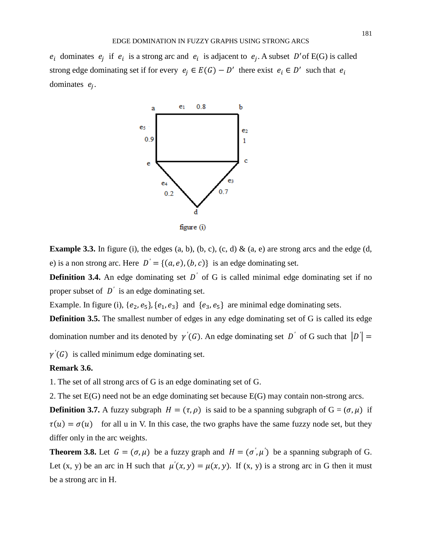$e_i$  dominates  $e_j$  if  $e_i$  is a strong arc and  $e_i$  is adjacent to  $e_j$ . A subset  $D'$  of E(G) is called strong edge dominating set if for every  $e_j \in E(G) - D'$  there exist  $e_i \in D'$  such that  $e_i$ dominates  $e_j$ .



figure (i)

**Example 3.3.** In figure (i), the edges  $(a, b)$ ,  $(b, c)$ ,  $(c, d)$   $\& (a, e)$  are strong arcs and the edge  $(d, d)$ e) is a non strong arc. Here  $D' = \{(a, e), (b, c)\}\$ is an edge dominating set.

**Definition 3.4.** An edge dominating set  $D'$  of G is called minimal edge dominating set if no proper subset of  $D'$  is an edge dominating set.

Example. In figure (i),  $\{e_2, e_5\}$ ,  $\{e_1, e_3\}$  and  $\{e_3, e_5\}$  are minimal edge dominating sets.

**Definition 3.5.** The smallest number of edges in any edge dominating set of G is called its edge domination number and its denoted by  $\gamma'(G)$ . An edge dominating set D<sup>'</sup> of G such that  $|D'| =$ 

 $\gamma'(G)$  is called minimum edge dominating set.

#### **Remark 3.6.**

1. The set of all strong arcs of G is an edge dominating set of G.

2. The set E(G) need not be an edge dominating set because E(G) may contain non-strong arcs.

**Definition 3.7.** A fuzzy subgraph  $H = (\tau, \rho)$  is said to be a spanning subgraph of  $G = (\sigma, \mu)$  if  $\tau(u) = \sigma(u)$  for all u in V. In this case, the two graphs have the same fuzzy node set, but they differ only in the arc weights.

**Theorem 3.8.** Let  $G = (\sigma, \mu)$  be a fuzzy graph and  $H = (\sigma', \mu')$  be a spanning subgraph of G. Let (x, y) be an arc in H such that  $\mu'(x, y) = \mu(x, y)$ . If (x, y) is a strong arc in G then it must be a strong arc in H.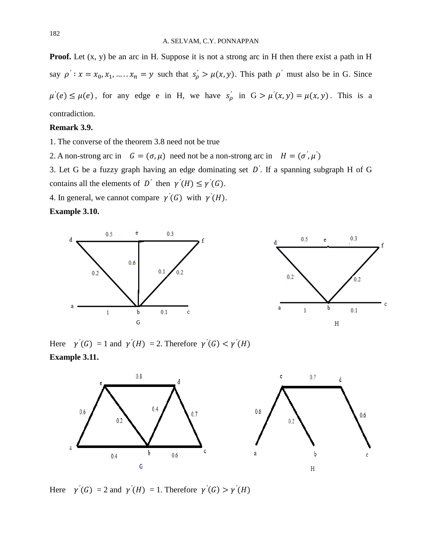**Proof.** Let  $(x, y)$  be an arc in H. Suppose it is not a strong arc in H then there exist a path in H say  $\rho'$ :  $x = x_0, x_1, \dots, x_n = y$  such that  $s'_\rho > \mu(x, y)$ . This path  $\rho'$  must also be in G. Since  $\mu'(e) \leq \mu(e)$ , for any edge e in H, we have  $s'_{\rho}$  in  $G > \mu'(x, y) = \mu(x, y)$ . This is a contradiction.

## **Remark 3.9.**

1. The converse of the theorem 3.8 need not be true

2. A non-strong arc in  $G = (\sigma, \mu)$  need not be a non-strong arc in  $H = (\sigma', \mu')$ 

3. Let G be a fuzzy graph having an edge dominating set  $D'$ . If a spanning subgraph H of G contains all the elements of  $D'$  then  $\gamma'(H) \leq \gamma'(G)$ .

4. In general, we cannot compare  $\gamma'(G)$  with  $\gamma'(H)$ .

**Example 3.10.**





Here  $\gamma'(G) = 1$  and  $\gamma'(H) = 2$ . Therefore  $\gamma'(G) < \gamma'(H)$ **Example 3.11.**



Here  $\gamma'(G) = 2$  and  $\gamma'(H) = 1$ . Therefore  $\gamma'(G) > \gamma'(H)$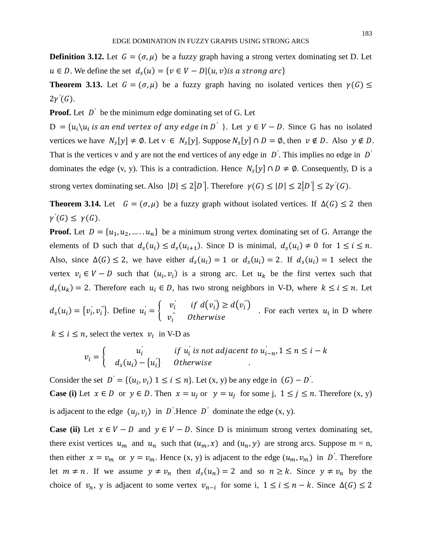**Definition 3.12.** Let  $G = (\sigma, \mu)$  be a fuzzy graph having a strong vertex dominating set D. Let  $u \in D$ . We define the set  $d_s(u) = \{v \in V - D | (u, v) \text{ is a strong arc} \}$ 

**Theorem 3.13.** Let  $G = (\sigma, \mu)$  be a fuzzy graph having no isolated vertices then  $\gamma(G) \leq$  $2\gamma'(G)$ .

**Proof.** Let D<sup>'</sup> be the minimum edge dominating set of G. Let

 $D = \{u_i \setminus u_i \text{ is an end vertex of any edge in D' } \}$ . Let  $y \in V - D$ . Since G has no isolated vertices we have  $N_s[y] \neq \emptyset$ . Let  $v \in N_s[y]$ . Suppose  $N_s[y] \cap D = \emptyset$ , then  $v \notin D$ . Also  $y \notin D$ . That is the vertices v and y are not the end vertices of any edge in  $D'$ . This implies no edge in  $D$ dominates the edge (v, y). This is a contradiction. Hence  $N_s[y] \cap D \neq \emptyset$ . Consequently, D is a strong vertex dominating set. Also  $|D| \leq 2|D'|$ . Therefore  $\gamma(G) \leq |D| \leq 2|D'| \leq 2\gamma'(G)$ .

**Theorem 3.14.** Let  $G = (\sigma, \mu)$  be a fuzzy graph without isolated vertices. If  $\Delta(G) \leq 2$  then  $\gamma'(G) \leq \gamma(G)$ .

**Proof.** Let  $D = \{u_1, u_2, \dots, u_n\}$  be a minimum strong vertex dominating set of G. Arrange the elements of D such that  $d_s(u_i) \leq d_s(u_{i+1})$ . Since D is minimal,  $d_s(u_i) \neq 0$  for  $1 \leq i \leq n$ . Also, since  $\Delta(G) \le 2$ , we have either  $d_s(u_i) = 1$  or  $d_s(u_i) = 2$ . If  $d_s(u_i) = 1$  select the vertex  $v_i \in V - D$  such that  $(u_i, v_i)$  is a strong arc. Let  $u_k$  be the first vertex such that  $d_s(u_k) = 2$ . Therefore each  $u_i \in D$ , has two strong neighbors in V-D, where  $k \le i \le n$ . Let

$$
d_s(u_i) = \{v_i, v_i'\}.
$$
 Define  $u_i = \begin{cases} v_i' & \text{if } d(v_i') \ge d(v_i'') \\ v_i' & \text{otherwise} \end{cases}$ . For each vertex  $u_i$  in D where

 $k \le i \le n$ , select the vertex  $v_i$  in V-D as

$$
v_i = \begin{cases} u'_i & \text{if } u'_i \text{ is not adjacent to } u'_{i-n}, 1 \le n \le i - k \\ d_s(u_i) - \{u'_i\} & \text{Otherwise} \end{cases}
$$

Consider the set  $D' = \{(u_i, v_i) \mid 1 \le i \le n\}$ . Let  $(x, y)$  be any edge in  $(G) - D'$ .

**Case (i)** Let  $x \in D$  or  $y \in D$ . Then  $x = u_j$  or  $y = u_j$  for some j,  $1 \le j \le n$ . Therefore  $(x, y)$ is adjacent to the edge  $(u_j, v_j)$  in D<sup>'</sup>.Hence D<sup>'</sup> dominate the edge  $(x, y)$ .

**Case (ii)** Let  $x \in V - D$  and  $y \in V - D$ . Since D is minimum strong vertex dominating set, there exist vertices  $u_m$  and  $u_n$  such that  $(u_m, x)$  and  $(u_n, y)$  are strong arcs. Suppose m = n, then either  $x = v_m$  or  $y = v_m$ . Hence  $(x, y)$  is adjacent to the edge  $(u_m, v_m)$  in D<sup>'</sup>. Therefore let  $m \neq n$ . If we assume  $y \neq v_n$  then  $d_s(u_n) = 2$  and so  $n \geq k$ . Since  $y \neq v_n$  by the choice of  $v_n$ , y is adjacent to some vertex  $v_{n-i}$  for some i,  $1 \le i \le n-k$ . Since  $\Delta(G) \le 2$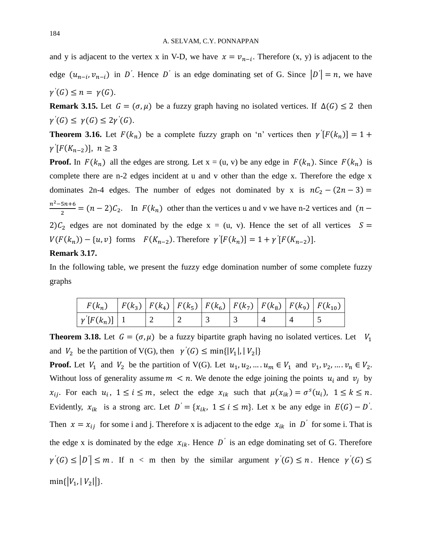and y is adjacent to the vertex x in V-D, we have  $x = v_{n-i}$ . Therefore  $(x, y)$  is adjacent to the edge  $(u_{n-i}, v_{n-i})$  in *D'*. Hence *D'* is an edge dominating set of G. Since  $|D'| = n$ , we have  $\gamma'(G) \leq n = \gamma(G).$ 

**Remark 3.15.** Let  $G = (\sigma, \mu)$  be a fuzzy graph having no isolated vertices. If  $\Delta(G) \leq 2$  then  $\gamma'(G) \leq \gamma(G) \leq 2\gamma'(G).$ 

**Theorem 3.16.** Let () be a complete fuzzy graph on 'n' vertices then *′* [( )] = 1 +  $\gamma'[F(K_{n-2})], \; n \geq 3$ 

**Proof.** In  $F(k_n)$  all the edges are strong. Let  $x = (u, v)$  be any edge in  $F(k_n)$ . Since  $F(k_n)$  is complete there are n-2 edges incident at u and v other than the edge x. Therefore the edge x dominates 2n-4 edges. The number of edges not dominated by x is  $nC_2 - (2n - 3) =$  $n^2-5n+6$  $\frac{3h+6}{2} = (n-2)C_2$ . In  $F(k_n)$  other than the vertices u and v we have n-2 vertices and  $(n-1)$  $2)C_2$  edges are not dominated by the edge x = (u, v). Hence the set of all vertices  $S =$  $V(F(k_n)) - \{u, v\}$  forms  $F(K_{n-2})$ . Therefore  $\gamma'[F(k_n)] = 1 + \gamma'[F(K_{n-2})]$ .

## **Remark 3.17.**

In the following table, we present the fuzzy edge domination number of some complete fuzzy graphs

| $F(k_n)$          |  | $F(k_3)$   $F(k_4)$   $F(k_5)$   $F(k_6)$   $F(k_7)$   $F(k_8)$   $F(k_9)$   $F(k_{10})$ |  |  |
|-------------------|--|------------------------------------------------------------------------------------------|--|--|
| $\gamma'[F(k_n)]$ |  |                                                                                          |  |  |

**Theorem 3.18.** Let  $G = (\sigma, \mu)$  be a fuzzy bipartite graph having no isolated vertices. Let  $V_1$ and  $V_2$  be the partition of V(G), then  $\gamma'(G) \le \min\{|V_1|, |V_2|\}$ 

**Proof.** Let  $V_1$  and  $V_2$  be the partition of V(G). Let  $u_1, u_2, \dots, u_m \in V_1$  and  $v_1, v_2, \dots, v_n \in V_2$ . Without loss of generality assume  $m < n$ . We denote the edge joining the points  $u_i$  and  $v_j$  by  $x_{ij}$ . For each  $u_i$ ,  $1 \le i \le m$ , select the edge  $x_{ik}$  such that  $\mu(x_{ik}) = \sigma^s(u_i)$ ,  $1 \le k \le n$ . Evidently,  $x_{ik}$  is a strong arc. Let  $D' = \{x_{ik}, 1 \le i \le m\}$ . Let x be any edge in  $E(G) - D'$ . Then  $x = x_{ij}$  for some i and j. Therefore x is adjacent to the edge  $x_{ik}$  in D<sup>'</sup> for some i. That is the edge x is dominated by the edge  $x_{ik}$ . Hence D<sup>'</sup> is an edge dominating set of G. Therefore  $\gamma'(G) \leq |D'| \leq m$ . If  $n < m$  then by the similar argument  $\gamma'(G) \leq n$ . Hence  $\gamma'(G) \leq$  $min\{|V_1, |V_2|\}$ .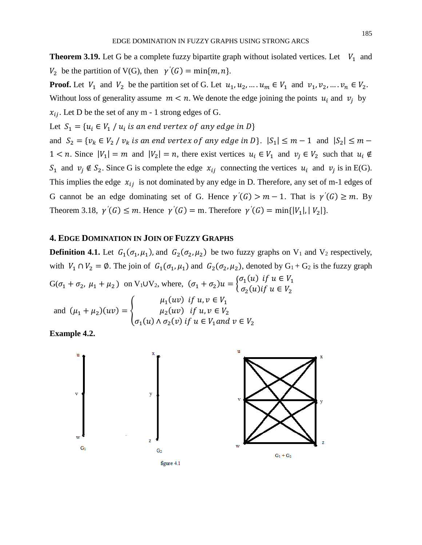**Theorem 3.19.** Let G be a complete fuzzy bipartite graph without isolated vertices. Let  $V_1$  and  $V_2$  be the partition of V(G), then  $\gamma'(G) = \min\{m, n\}.$ 

**Proof.** Let  $V_1$  and  $V_2$  be the partition set of G. Let  $u_1, u_2, \dots, u_m \in V_1$  and  $v_1, v_2, \dots, v_n \in V_2$ . Without loss of generality assume  $m < n$ . We denote the edge joining the points  $u_i$  and  $v_j$  by  $x_{ij}$ . Let D be the set of any m - 1 strong edges of G.

Let  $S_1 = \{u_i \in V_1 / u_i \text{ is an end vertex of any edge in } D\}$ 

and  $S_2 = \{v_k \in V_2 \mid v_k \text{ is an end vertex of any edge in } D\}$ .  $|S_1| \le m - 1$  and  $|S_2| \le m - 1$  $1 < n$ . Since  $|V_1| = m$  and  $|V_2| = n$ , there exist vertices  $u_i \in V_1$  and  $v_j \in V_2$  such that  $u_i \notin V_1$  $S_1$  and  $v_j \notin S_2$ . Since G is complete the edge  $x_{ij}$  connecting the vertices  $u_i$  and  $v_j$  is in E(G). This implies the edge  $x_{ij}$  is not dominated by any edge in D. Therefore, any set of m-1 edges of G cannot be an edge dominating set of G. Hence  $\gamma'(G) > m - 1$ . That is  $\gamma'(G) \ge m$ . By Theorem 3.18,  $\gamma'(G) \leq m$ . Hence  $\gamma'(G) = m$ . Therefore  $\gamma'(G) = \min\{|V_1|, |V_2|\}$ .

## **4. EDGE DOMINATION IN JOIN OF FUZZY GRAPHS**

**Definition 4.1.** Let  $G_1(\sigma_1, \mu_1)$ , and  $G_2(\sigma_2, \mu_2)$  be two fuzzy graphs on  $V_1$  and  $V_2$  respectively, with  $V_1 \cap V_2 = \emptyset$ . The join of  $G_1(\sigma_1, \mu_1)$  and  $G_2(\sigma_2, \mu_2)$ , denoted by  $G_1 + G_2$  is the fuzzy graph  $G(\sigma_1 + \sigma_2, \mu_1 + \mu_2)$  on  $V_1 \cup V_2$ , where,  $(\sigma_1 + \sigma_2)u = \begin{cases} \sigma_1(u) & \text{if } u \in V_1 \\ \sigma_1(u) & \text{if } u \in V_1 \end{cases}$  $\sigma_2(u)$ if  $u \in V_2$ and  $(\mu_1 + \mu_2)(uv) = \{$  $\mu_1(uv)$  if  $u, v \in V_1$  $\mu_2(uv)$  if  $u, v \in V_2$  $\sigma_1(u) \wedge \sigma_2(v)$  if  $u \in V_1$  and  $v \in V_2$ 

**Example 4.2.**

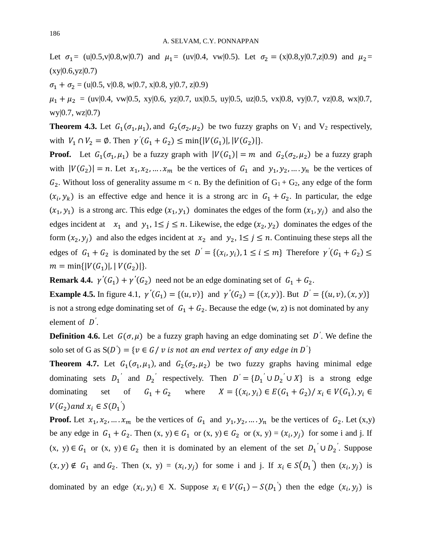Let  $\sigma_1$  = (u|0.5,v|0.8,w|0.7) and  $\mu_1$  = (uv|0.4, vw|0.5). Let  $\sigma_2$  = (x|0.8,y|0.7,z|0.9) and  $\mu_2$  =  $(xy|0.6, yz|0.7)$ 

 $\sigma_1 + \sigma_2 = (u|0.5, v|0.8, w|0.7, x|0.8, y|0.7, z|0.9)$ 

 $\mu_1 + \mu_2 = (uv|0.4, vw|0.5, xy|0.6, yz|0.7, ux|0.5, uy|0.5, ux|0.5, vx|0.8, vy|0.7, vz|0.8, wx|0.7,$  $wy|0.7, wz|0.7)$ 

**Theorem 4.3.** Let  $G_1(\sigma_1, \mu_1)$ , and  $G_2(\sigma_2, \mu_2)$  be two fuzzy graphs on  $V_1$  and  $V_2$  respectively, with  $V_1 \cap V_2 = \emptyset$ . Then  $\gamma'(G_1 + G_2) \le \min\{|V(G_1)|, |V(G_2)|\}.$ 

**Proof.** Let  $G_1(\sigma_1, \mu_1)$  be a fuzzy graph with  $|V(G_1)| = m$  and  $G_2(\sigma_2, \mu_2)$  be a fuzzy graph with  $|V(G_2)| = n$ . Let  $x_1, x_2, ..., x_m$  be the vertices of  $G_1$  and  $y_1, y_2, ..., y_n$  be the vertices of  $G_2$ . Without loss of generality assume m < n. By the definition of  $G_1 + G_2$ , any edge of the form  $(x_i, y_k)$  is an effective edge and hence it is a strong arc in  $G_1 + G_2$ . In particular, the edge  $(x_1, y_1)$  is a strong arc. This edge  $(x_1, y_1)$  dominates the edges of the form  $(x_1, y_1)$  and also the edges incident at  $x_1$  and  $y_1, 1 \le j \le n$ . Likewise, the edge  $(x_2, y_2)$  dominates the edges of the form  $(x_2, y_i)$  and also the edges incident at  $x_2$  and  $y_2$ ,  $1 \le j \le n$ . Continuing these steps all the edges of  $G_1 + G_2$  is dominated by the set  $D' = \{(x_i, y_i), 1 \le i \le m\}$  Therefore  $\gamma'(G_1 + G_2) \le$  $m = \min\{|V(G_1)|, |V(G_2)|\}.$ 

**Remark 4.4.**  $\gamma'(G_1) + \gamma'(G_2)$  need not be an edge dominating set of  $G_1 + G_2$ .

**Example 4.5.** In figure 4.1,  $\gamma'(G_1) = \{(u, v)\}$  and  $\gamma'(G_2) = \{(x, y)\}$ . But  $D' = \{(u, v), (x, y)\}$ is not a strong edge dominating set of  $G_1 + G_2$ . Because the edge (w, z) is not dominated by any element of  $D'$ .

**Definition 4.6.** Let  $G(\sigma, \mu)$  be a fuzzy graph having an edge dominating set D<sup>'</sup>. We define the solo set of G as  $S(D') = \{ v \in G / v \text{ is not an end vertex of any edge in D' } \}$ 

**Theorem 4.7.** Let  $G_1(\sigma_1, \mu_1)$ , and  $G_2(\sigma_2, \mu_2)$  be two fuzzy graphs having minimal edge dominating sets  $D_1'$  and  $D_2'$  respectively. Then  $D' = \{D_1' \cup D_2' \cup X\}$  is a strong edge dominating set of  $G_1 + G_2$  where  $X = \{(x_i, y_i) \in E(G_1 + G_2) / x_i \in V(G_1), y_i \in$  $V(G_2)$  and  $x_i \in S(D_1)$ 

**Proof.** Let  $x_1, x_2, ..., x_m$  be the vertices of  $G_1$  and  $y_1, y_2, ..., y_n$  be the vertices of  $G_2$ . Let  $(x,y)$ be any edge in  $G_1 + G_2$ . Then  $(x, y) \in G_1$  or  $(x, y) \in G_2$  or  $(x, y) = (x_i, y_j)$  for some i and j. If  $(x, y) \in G_1$  or  $(x, y) \in G_2$  then it is dominated by an element of the set  $D_1' \cup D_2'$ . Suppose  $(x, y) \notin G_1$  and  $G_2$ . Then  $(x, y) = (x_i, y_j)$  for some i and j. If  $x_i \in S(D_1)$  then  $(x_i, y_j)$  is dominated by an edge  $(x_i, y_i) \in X$ . Suppose  $x_i \in V(G_1) - S(D_1)$  then the edge  $(x_i, y_j)$  is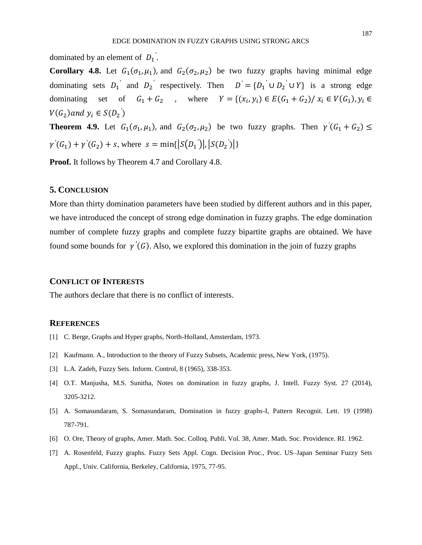dominated by an element of  $D_1$ <sup>'</sup>.

**Corollary 4.8.** Let  $G_1(\sigma_1, \mu_1)$ , and  $G_2(\sigma_2, \mu_2)$  be two fuzzy graphs having minimal edge dominating sets  $D_1'$  and  $D_2'$  respectively. Then  $D' = \{D_1' \cup D_2' \cup Y\}$  is a strong edge dominating set of  $G_1 + G_2$ , where  $Y = \{(x_i, y_i) \in E(G_1 + G_2) / x_i \in V(G_1), y_i \in$  $V(G_2)$ and  $y_i \in S(D_2)$ 

**Theorem 4.9.** Let  $G_1(\sigma_1, \mu_1)$ , and  $G_2(\sigma_2, \mu_2)$  be two fuzzy graphs. Then  $\gamma'(G_1 + G_2) \leq$  $\gamma'(G_1) + \gamma'(G_2) + s$ , where  $s = \min\{|S(D_1)|, |S(D_2)|\}$ 

**Proof.** It follows by Theorem 4.7 and Corollary 4.8.

## **5. CONCLUSION**

More than thirty domination parameters have been studied by different authors and in this paper, we have introduced the concept of strong edge domination in fuzzy graphs. The edge domination number of complete fuzzy graphs and complete fuzzy bipartite graphs are obtained. We have found some bounds for  $\gamma'(G)$ . Also, we explored this domination in the join of fuzzy graphs

#### **CONFLICT OF INTERESTS**

The authors declare that there is no conflict of interests.

#### **REFERENCES**

- [1] C. Berge, Graphs and Hyper graphs, North-Holland, Amsterdam, 1973.
- [2] Kaufmann. A., Introduction to the theory of Fuzzy Subsets, Academic press, New York, (1975).
- [3] L.A. Zadeh*,* Fuzzy Sets. Inform. Control, 8 (1965), 338-353.
- [4] O.T. Manjusha, M.S. Sunitha, Notes on domination in fuzzy graphs, J. Intell. Fuzzy Syst. 27 (2014), 3205-3212.
- [5] A. Somasundaram, S. Somasundaram, Domination in fuzzy graphs-I, Pattern Recognit. Lett. 19 (1998) 787-791.
- [6] O. Ore, Theory of graphs, Amer. Math. Soc. Colloq. Publi. Vol. 38, Amer. Math. Soc. Providence. RI. 1962.
- [7] A. Rosenfeld, Fuzzy graphs. Fuzzy Sets Appl. Cogn. Decision Proc., Proc. US–Japan Seminar Fuzzy Sets Appl., Univ. California, Berkeley, California, 1975, 77-95.